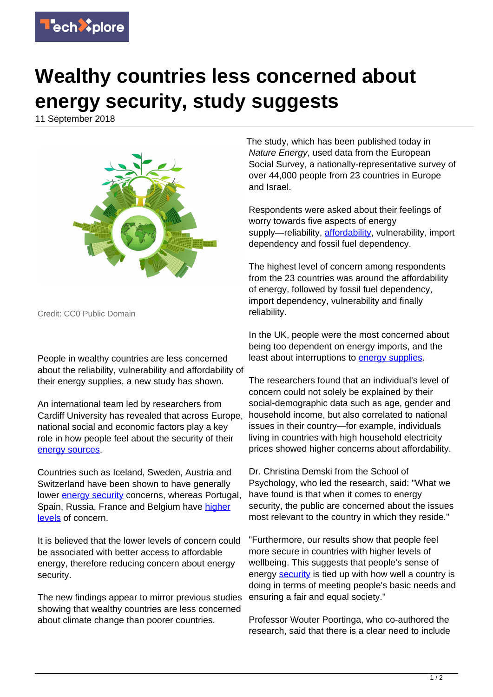

## **Wealthy countries less concerned about energy security, study suggests**

11 September 2018



Credit: CC0 Public Domain

People in wealthy countries are less concerned about the reliability, vulnerability and affordability of their energy supplies, a new study has shown.

An international team led by researchers from Cardiff University has revealed that across Europe, national social and economic factors play a key role in how people feel about the security of their [energy sources.](https://techxplore.com/tags/energy+sources/)

Countries such as Iceland, Sweden, Austria and Switzerland have been shown to have generally lower [energy security](https://techxplore.com/tags/energy+security/) concerns, whereas Portugal, Spain, Russia, France and Belgium have [higher](https://techxplore.com/tags/higher+levels/) [levels](https://techxplore.com/tags/higher+levels/) of concern.

It is believed that the lower levels of concern could be associated with better access to affordable energy, therefore reducing concern about energy security.

The new findings appear to mirror previous studies showing that wealthy countries are less concerned about climate change than poorer countries.

The study, which has been published today in Nature Energy, used data from the European Social Survey, a nationally-representative survey of over 44,000 people from 23 countries in Europe and Israel.

Respondents were asked about their feelings of worry towards five aspects of energy supply—reliability, [affordability](https://techxplore.com/tags/affordability/), vulnerability, import dependency and fossil fuel dependency.

The highest level of concern among respondents from the 23 countries was around the affordability of energy, followed by fossil fuel dependency, import dependency, vulnerability and finally reliability.

In the UK, people were the most concerned about being too dependent on energy imports, and the least about interruptions to [energy supplies](https://techxplore.com/tags/energy+supplies/).

The researchers found that an individual's level of concern could not solely be explained by their social-demographic data such as age, gender and household income, but also correlated to national issues in their country—for example, individuals living in countries with high household electricity prices showed higher concerns about affordability.

Dr. Christina Demski from the School of Psychology, who led the research, said: "What we have found is that when it comes to energy security, the public are concerned about the issues most relevant to the country in which they reside."

"Furthermore, our results show that people feel more secure in countries with higher levels of wellbeing. This suggests that people's sense of energy **security** is tied up with how well a country is doing in terms of meeting people's basic needs and ensuring a fair and equal society."

Professor Wouter Poortinga, who co-authored the research, said that there is a clear need to include